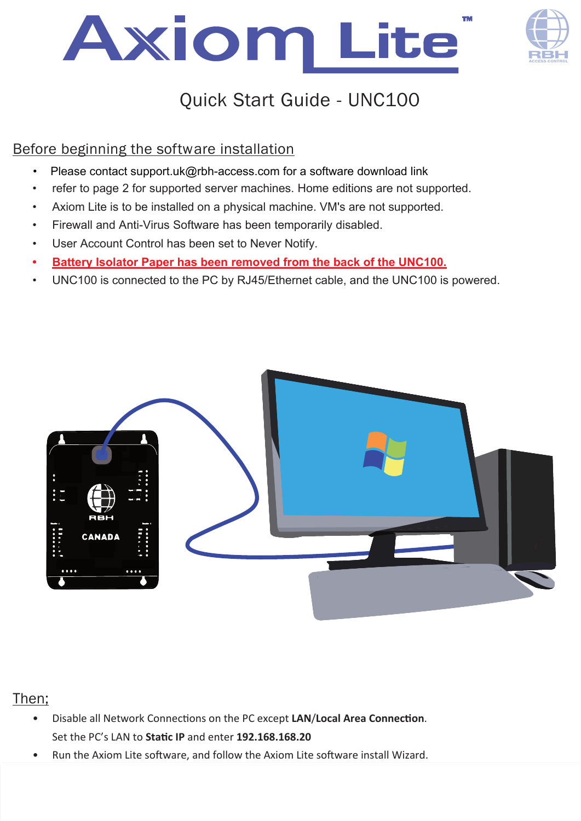



# Quick Start Guide - UNC100

### Before beginning the software installation

- Please contact support.uk@rbh-access.com for a software download link
- refer to page 2 for supported server machines. Home editions are not supported.
- Axiom Lite is to be installed on a physical machine. VM's are not supported.
- Firewall and Anti-Virus Software has been temporarily disabled.
- User Account Control has been set to Never Notify.
- **• Battery Isolator Paper has been removed from the back of the UNC100.**
- UNC100 is connected to the PC by RJ45/Ethernet cable, and the UNC100 is powered.



#### Then;

- Disable all Network Connections on the PC except LAN/Local Area Connection. Set the PC's LAN to **Sta�c IP** and enter **192.168.168.20**
- Run the Axiom Lite software, and follow the Axiom Lite software install Wizard.